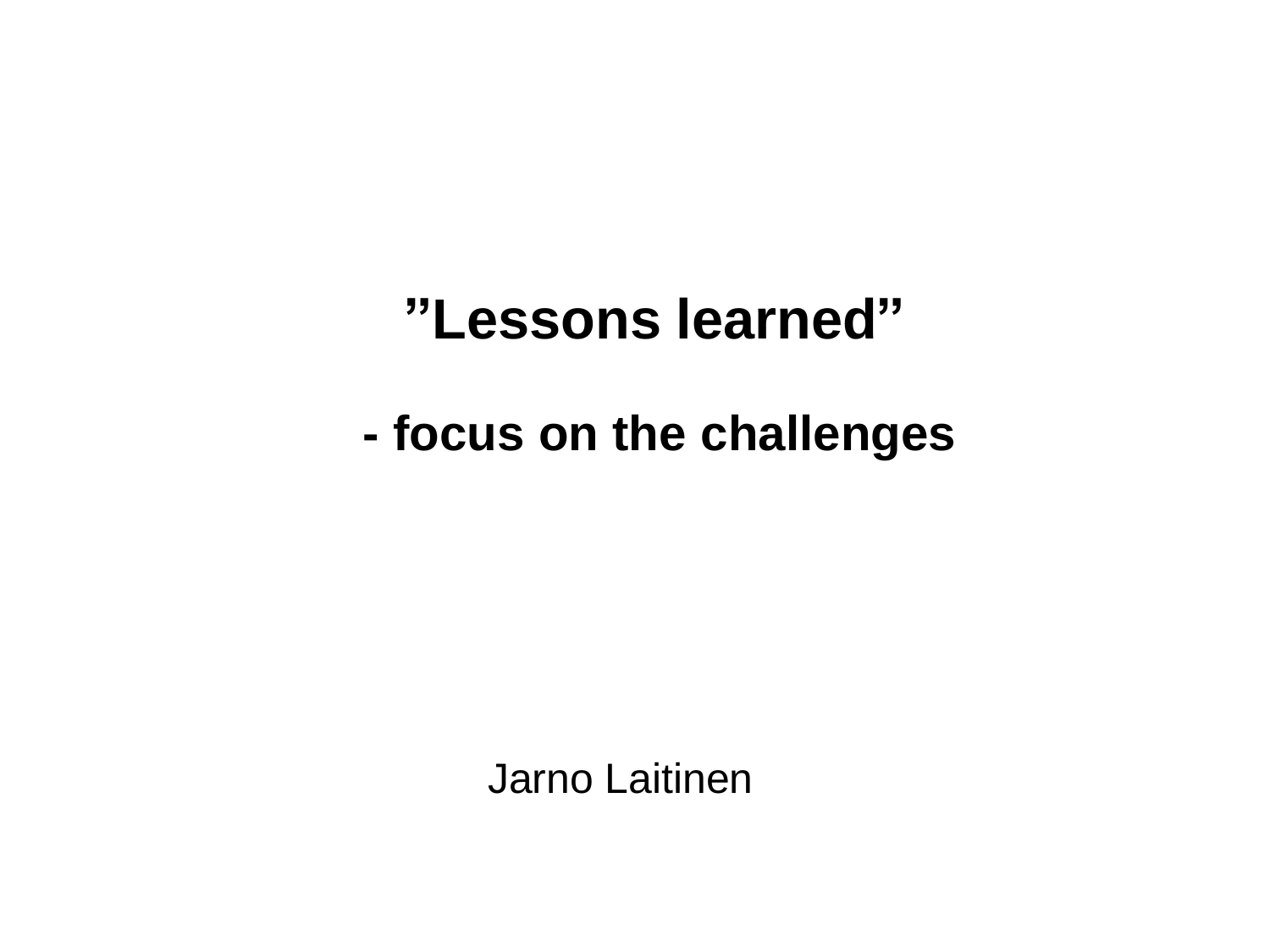#### **"Lessons learned"**

**- focus on the challenges**

Jarno Laitinen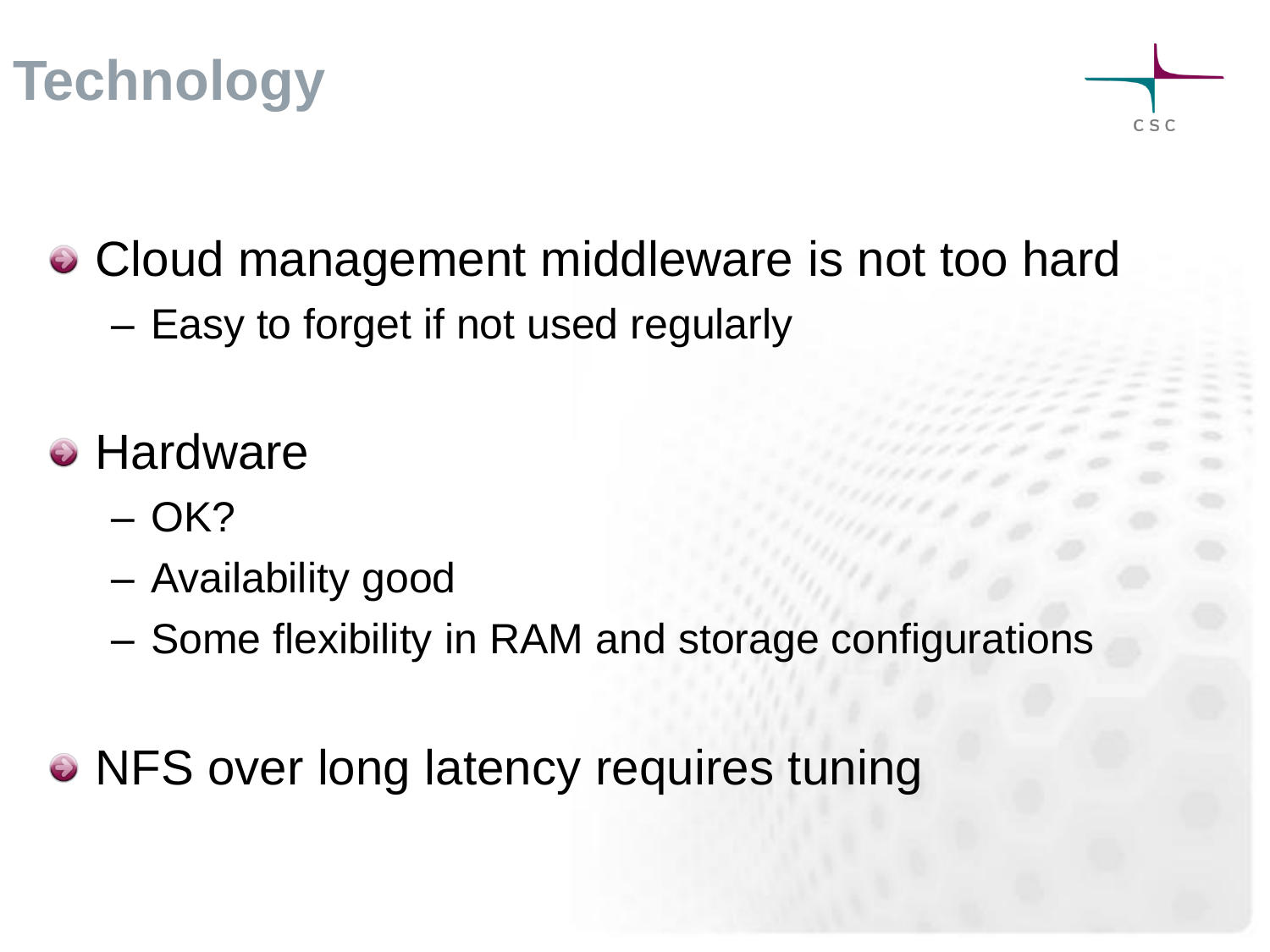



- Cloud management middleware is not too hard
	- Easy to forget if not used regularly
- Hardware
	- $OK?$
	- Availability good
	- Some flexibility in RAM and storage configurations
- NFS over long latency requires tuning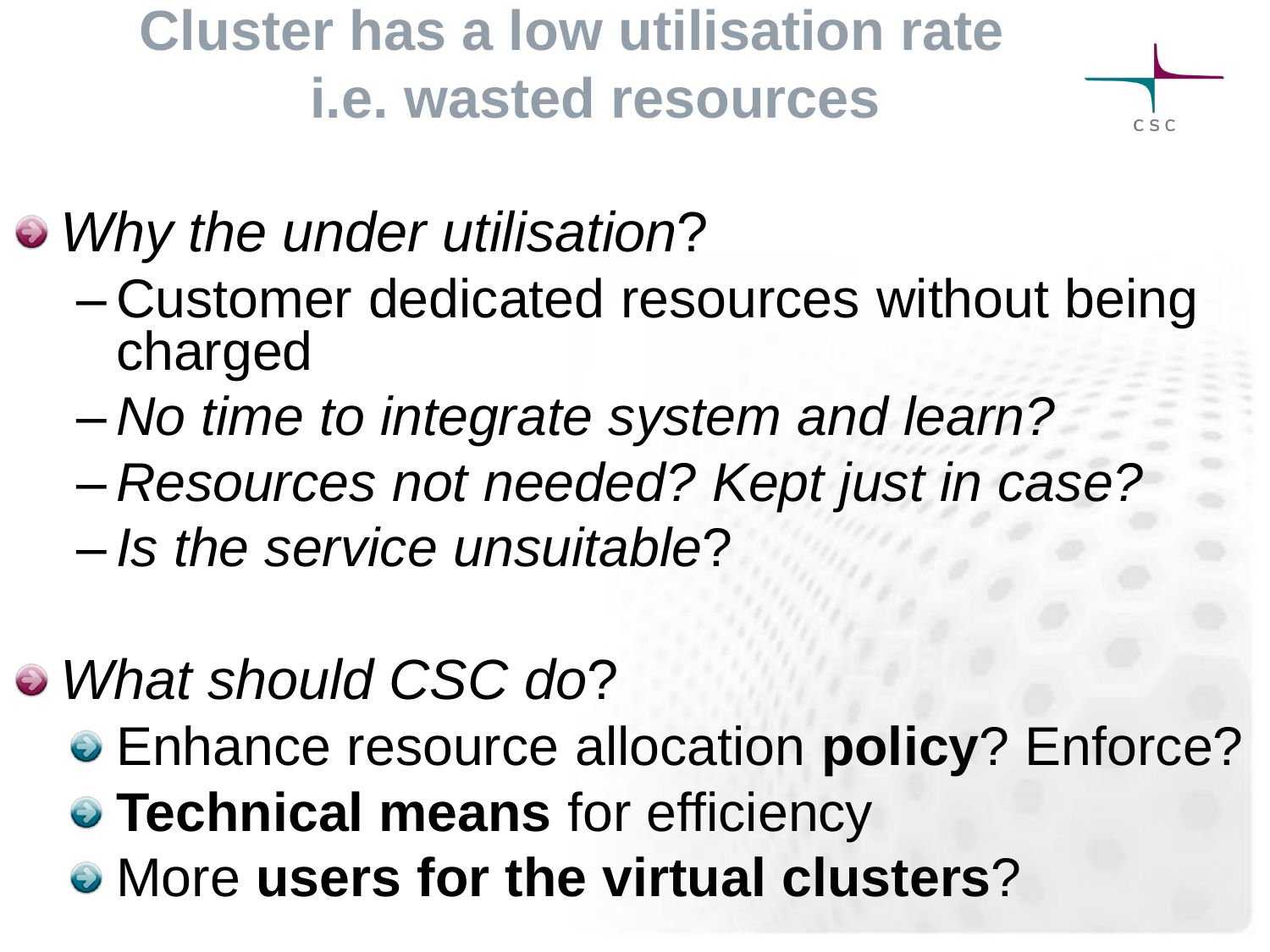**Cluster has a low utilisation rate i.e. wasted resources**



## *Why the under utilisation*?

- Customer dedicated resources without being charged
- *No time to integrate system and learn?*
- *Resources not needed? Kept just in case?*
- *Is the service unsuitable*?
- *What should CSC do*?
	- Enhance resource allocation **policy**? Enforce?
	- **Technical means** for efficiency
	- More **users for the virtual clusters**?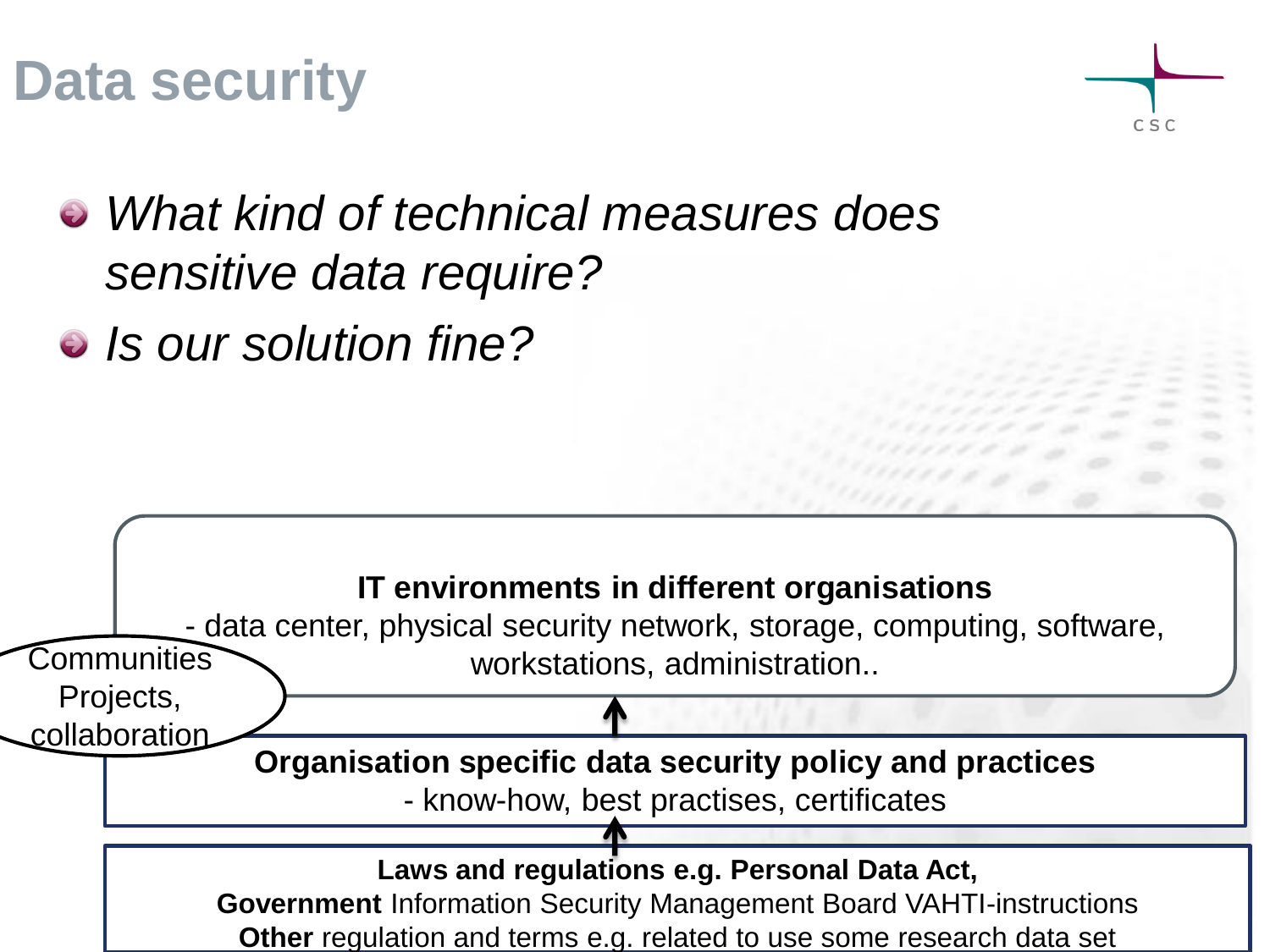## **Data security**



- *What kind of technical measures does sensitive data require?*
- *Is our solution fine?*

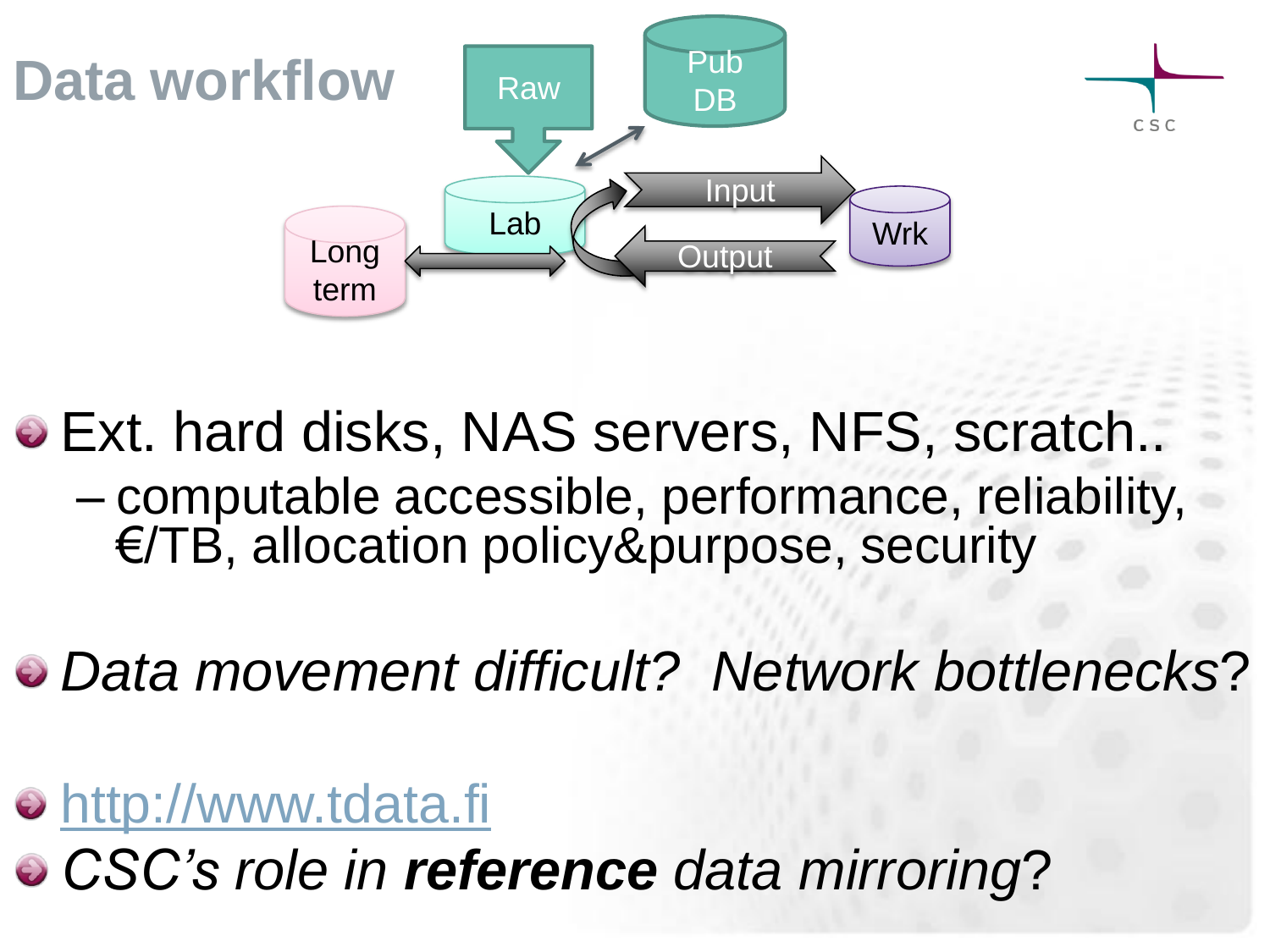

- Ext. hard disks, NAS servers, NFS, scratch.. – computable accessible, performance, reliability, €/TB, allocation policy&purpose, security
- *Data movement difficult? Network bottlenecks*?
- [http://www.tdata.fi](http://www.tdata.fi/)
- *CSC's role in reference data mirroring*?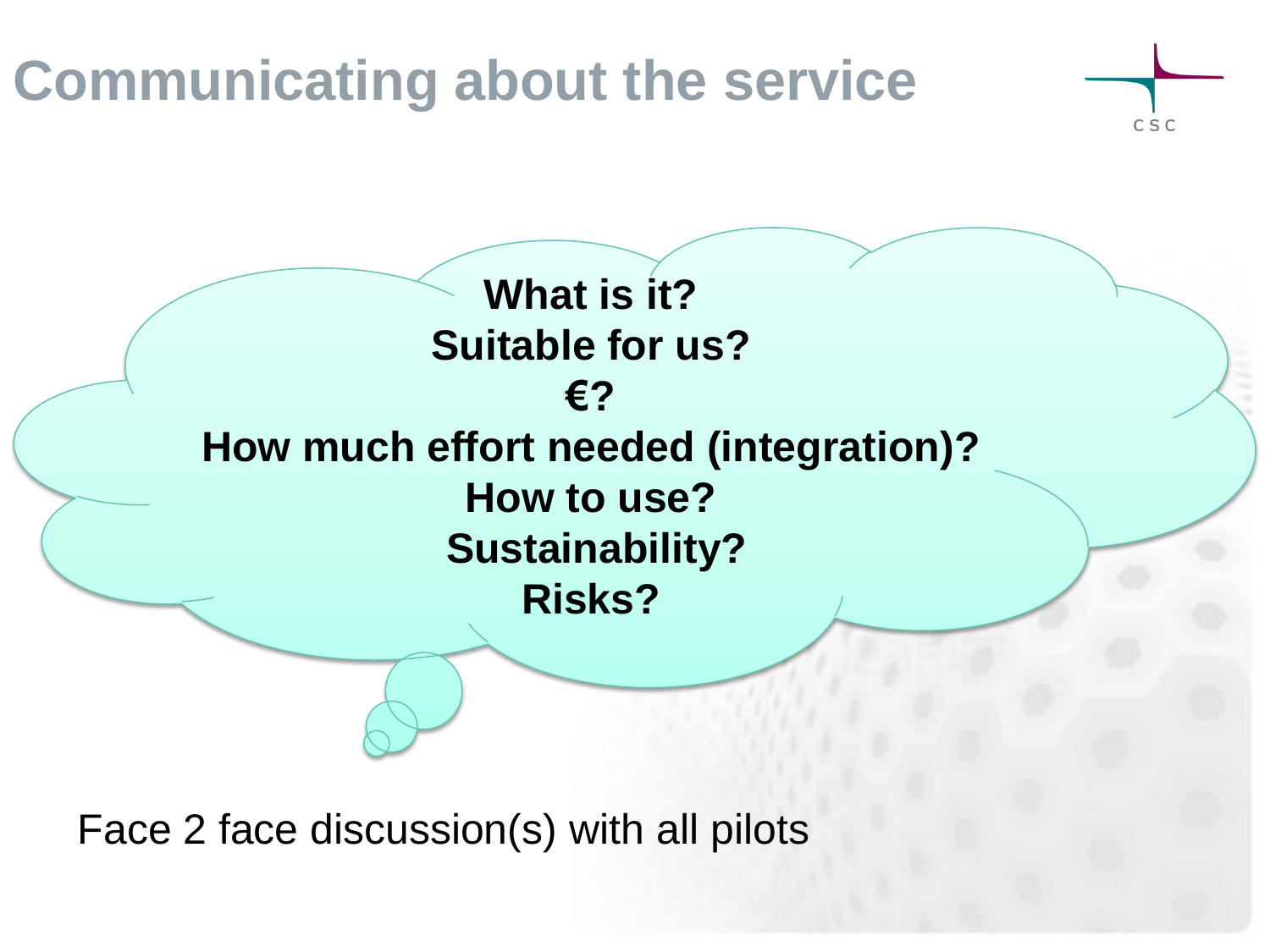## **Communicating about the service**



**What is it? Suitable for us? €? How much effort needed (integration)? How to use? Sustainability? Risks?**

Face 2 face discussion(s) with all pilots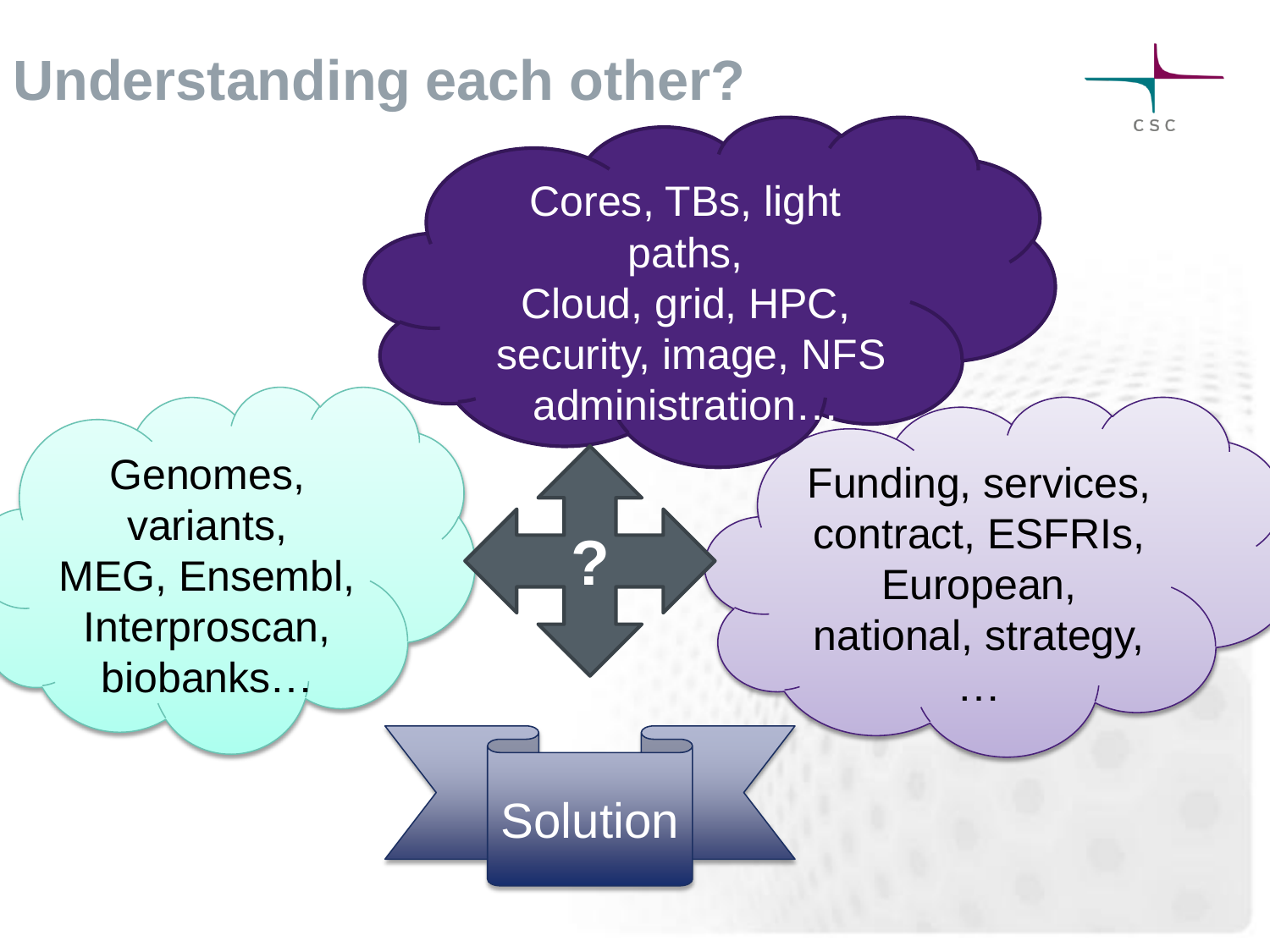#### **Understanding each other?**

Cores, TBs, light paths, Cloud, grid, HPC, security, image, NFS administration…

Genomes, variants, MEG, Ensembl, Interproscan, biobanks…

Funding, services, contract, ESFRIs, European, national, strategy,

CSC

…

**Solution** 

**?**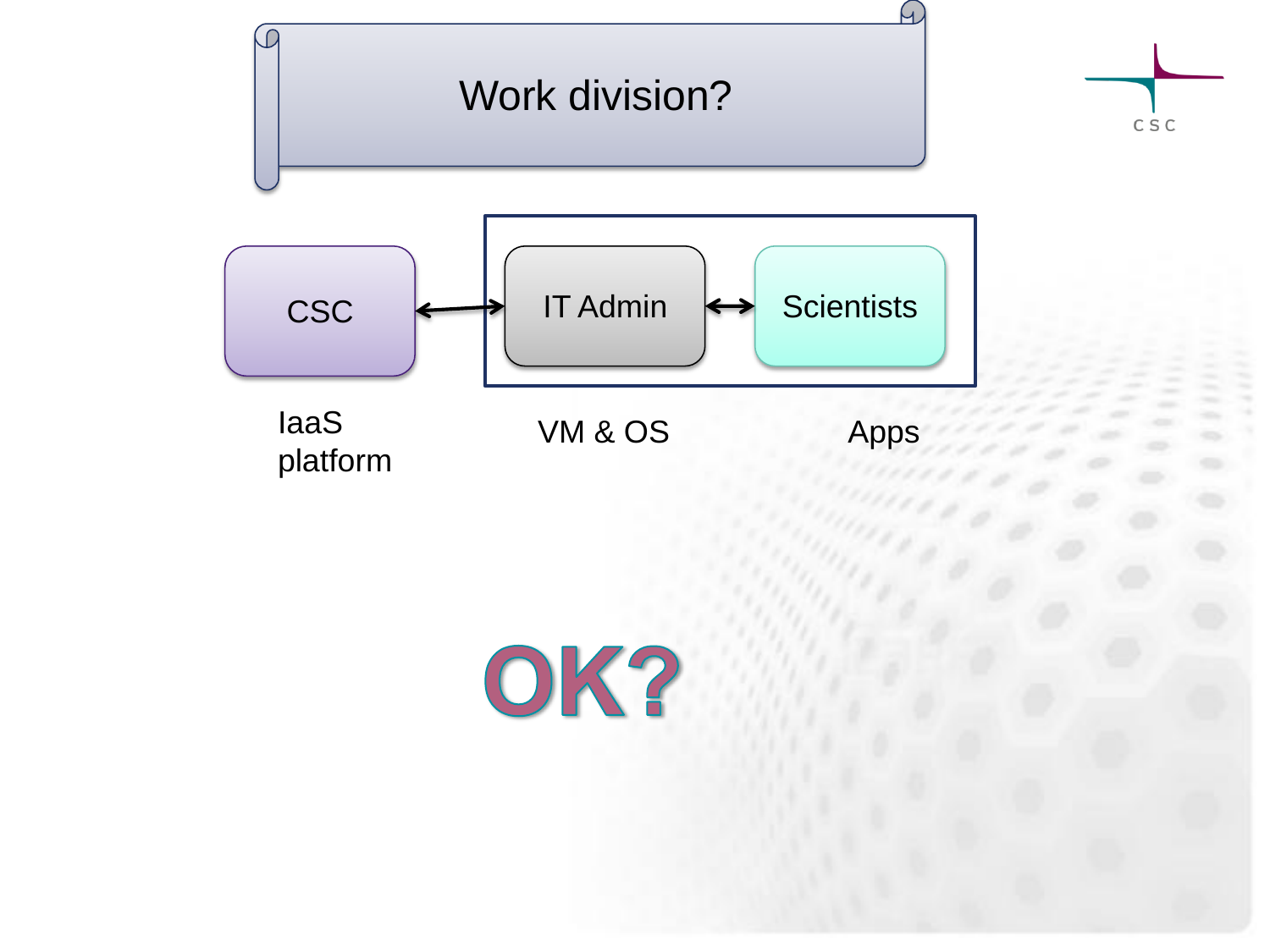

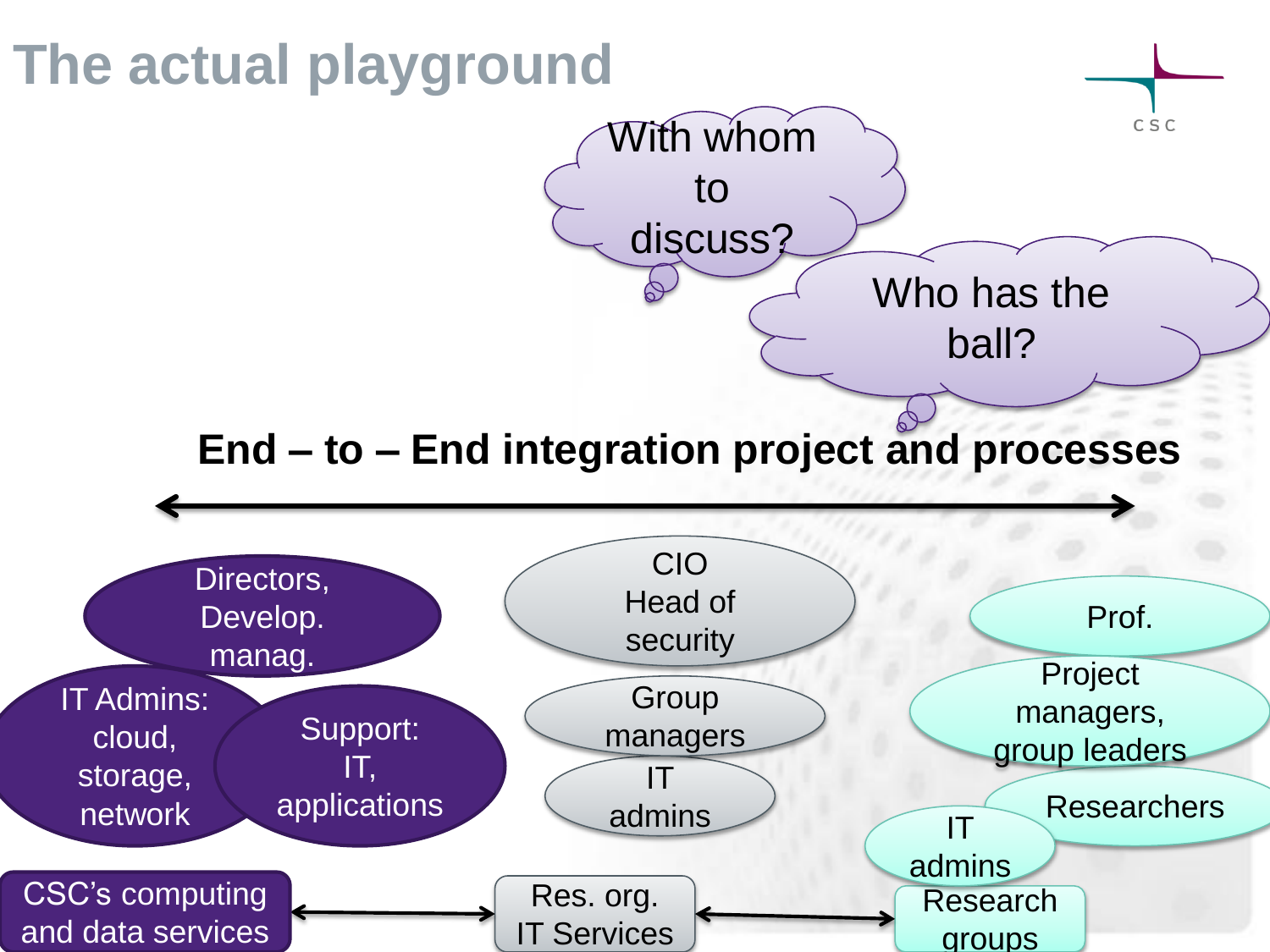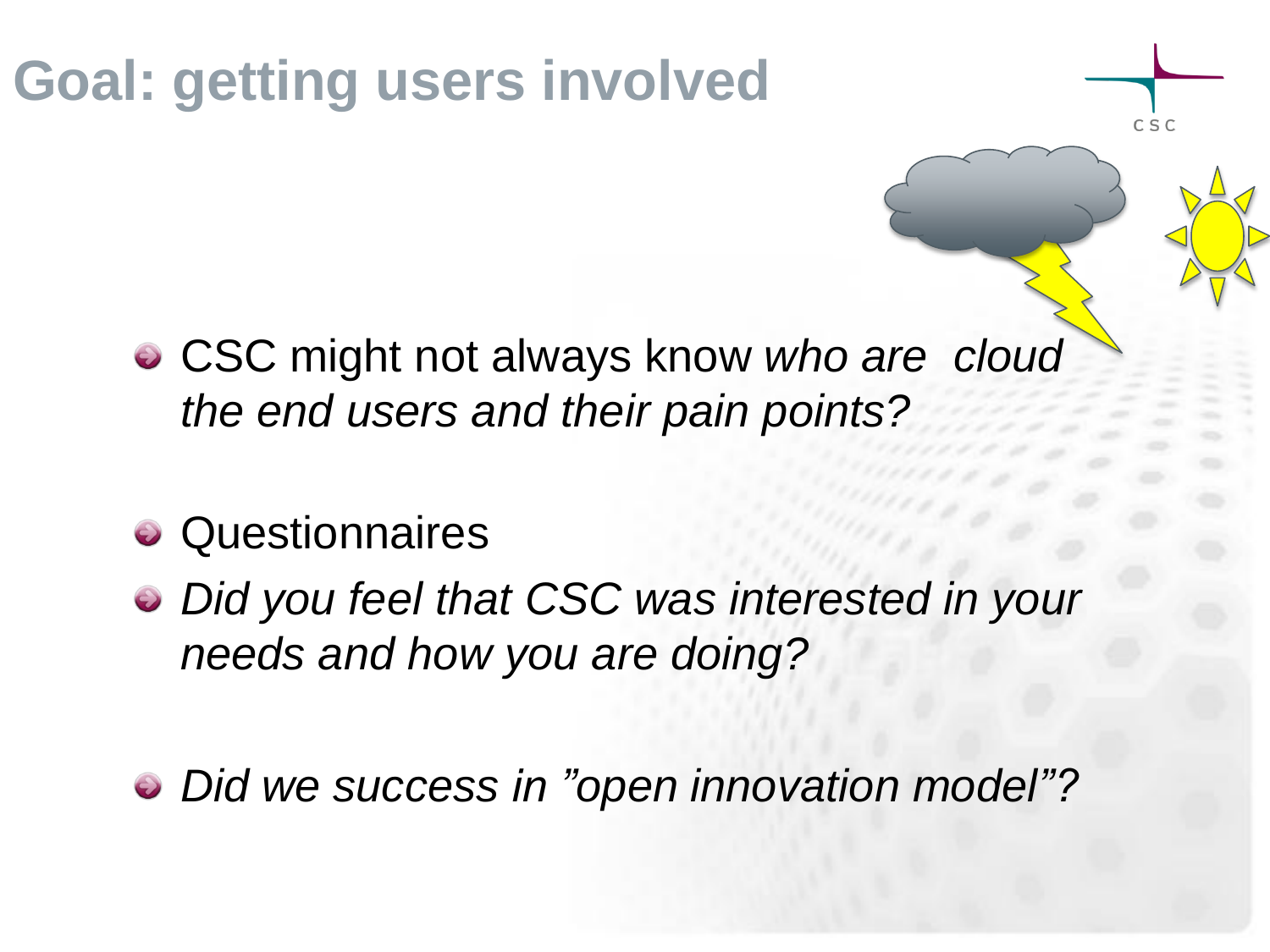# **Goal: getting users involved**

CSC might not always know *who are cloud the end users and their pain points?*

 $C S C$ 

- **•** Questionnaires
- *Did you feel that CSC was interested in your needs and how you are doing?*
- *Did we success in "open innovation model"?*